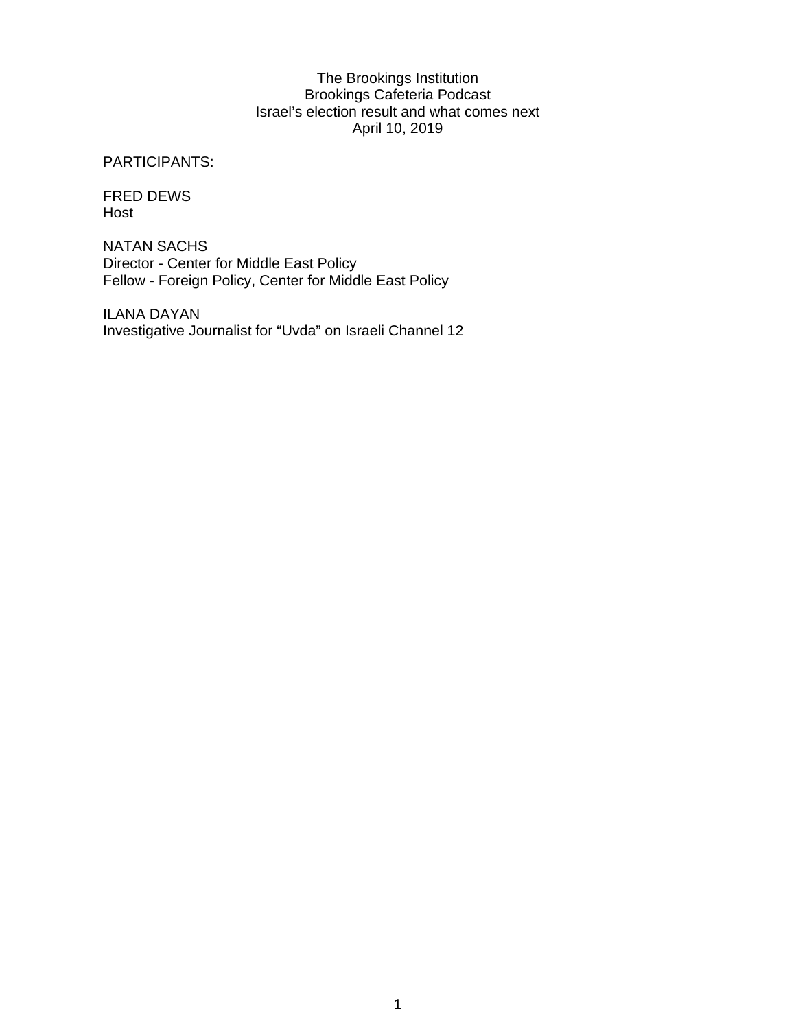## The Brookings Institution Brookings Cafeteria Podcast Israel's election result and what comes next April 10, 2019

PARTICIPANTS:

FRED DEWS Host

NATAN SACHS Director - Center for Middle East Policy Fellow - Foreign Policy, Center for Middle East Policy

ILANA DAYAN Investigative Journalist for "Uvda" on Israeli Channel 12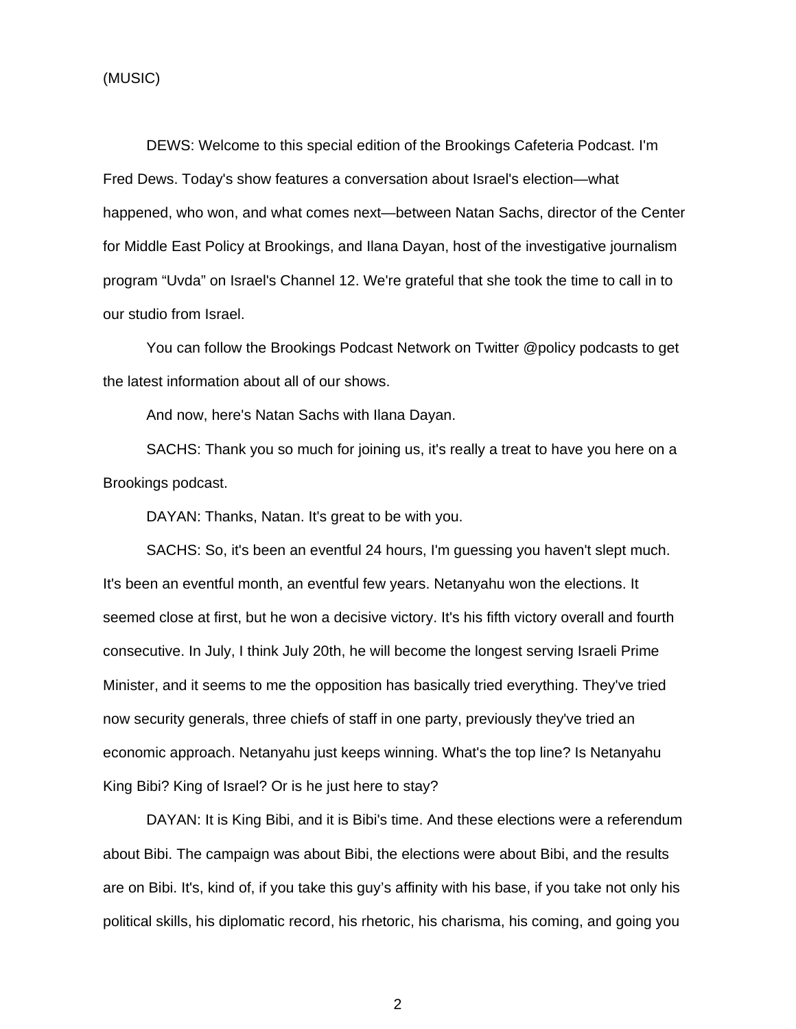(MUSIC)

DEWS: Welcome to this special edition of the Brookings Cafeteria Podcast. I'm Fred Dews. Today's show features a conversation about Israel's election—what happened, who won, and what comes next—between Natan Sachs, director of the Center for Middle East Policy at Brookings, and Ilana Dayan, host of the investigative journalism program "Uvda" on Israel's Channel 12. We're grateful that she took the time to call in to our studio from Israel.

You can follow the Brookings Podcast Network on Twitter @policy podcasts to get the latest information about all of our shows.

And now, here's Natan Sachs with Ilana Dayan.

SACHS: Thank you so much for joining us, it's really a treat to have you here on a Brookings podcast.

DAYAN: Thanks, Natan. It's great to be with you.

SACHS: So, it's been an eventful 24 hours, I'm guessing you haven't slept much. It's been an eventful month, an eventful few years. Netanyahu won the elections. It seemed close at first, but he won a decisive victory. It's his fifth victory overall and fourth consecutive. In July, I think July 20th, he will become the longest serving Israeli Prime Minister, and it seems to me the opposition has basically tried everything. They've tried now security generals, three chiefs of staff in one party, previously they've tried an economic approach. Netanyahu just keeps winning. What's the top line? Is Netanyahu King Bibi? King of Israel? Or is he just here to stay?

 DAYAN: It is King Bibi, and it is Bibi's time. And these elections were a referendum about Bibi. The campaign was about Bibi, the elections were about Bibi, and the results are on Bibi. It's, kind of, if you take this guy's affinity with his base, if you take not only his political skills, his diplomatic record, his rhetoric, his charisma, his coming, and going you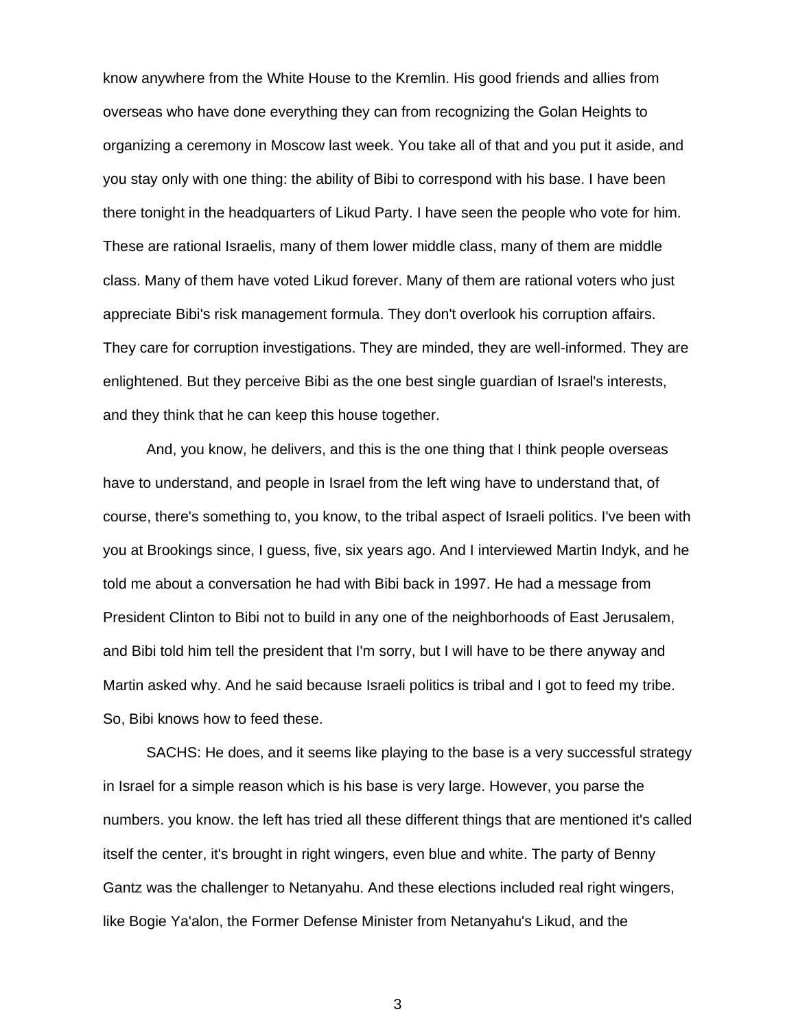know anywhere from the White House to the Kremlin. His good friends and allies from overseas who have done everything they can from recognizing the Golan Heights to organizing a ceremony in Moscow last week. You take all of that and you put it aside, and you stay only with one thing: the ability of Bibi to correspond with his base. I have been there tonight in the headquarters of Likud Party. I have seen the people who vote for him. These are rational Israelis, many of them lower middle class, many of them are middle class. Many of them have voted Likud forever. Many of them are rational voters who just appreciate Bibi's risk management formula. They don't overlook his corruption affairs. They care for corruption investigations. They are minded, they are well-informed. They are enlightened. But they perceive Bibi as the one best single guardian of Israel's interests, and they think that he can keep this house together.

And, you know, he delivers, and this is the one thing that I think people overseas have to understand, and people in Israel from the left wing have to understand that, of course, there's something to, you know, to the tribal aspect of Israeli politics. I've been with you at Brookings since, I guess, five, six years ago. And I interviewed Martin Indyk, and he told me about a conversation he had with Bibi back in 1997. He had a message from President Clinton to Bibi not to build in any one of the neighborhoods of East Jerusalem, and Bibi told him tell the president that I'm sorry, but I will have to be there anyway and Martin asked why. And he said because Israeli politics is tribal and I got to feed my tribe. So, Bibi knows how to feed these.

SACHS: He does, and it seems like playing to the base is a very successful strategy in Israel for a simple reason which is his base is very large. However, you parse the numbers. you know. the left has tried all these different things that are mentioned it's called itself the center, it's brought in right wingers, even blue and white. The party of Benny Gantz was the challenger to Netanyahu. And these elections included real right wingers, like Bogie Ya'alon, the Former Defense Minister from Netanyahu's Likud, and the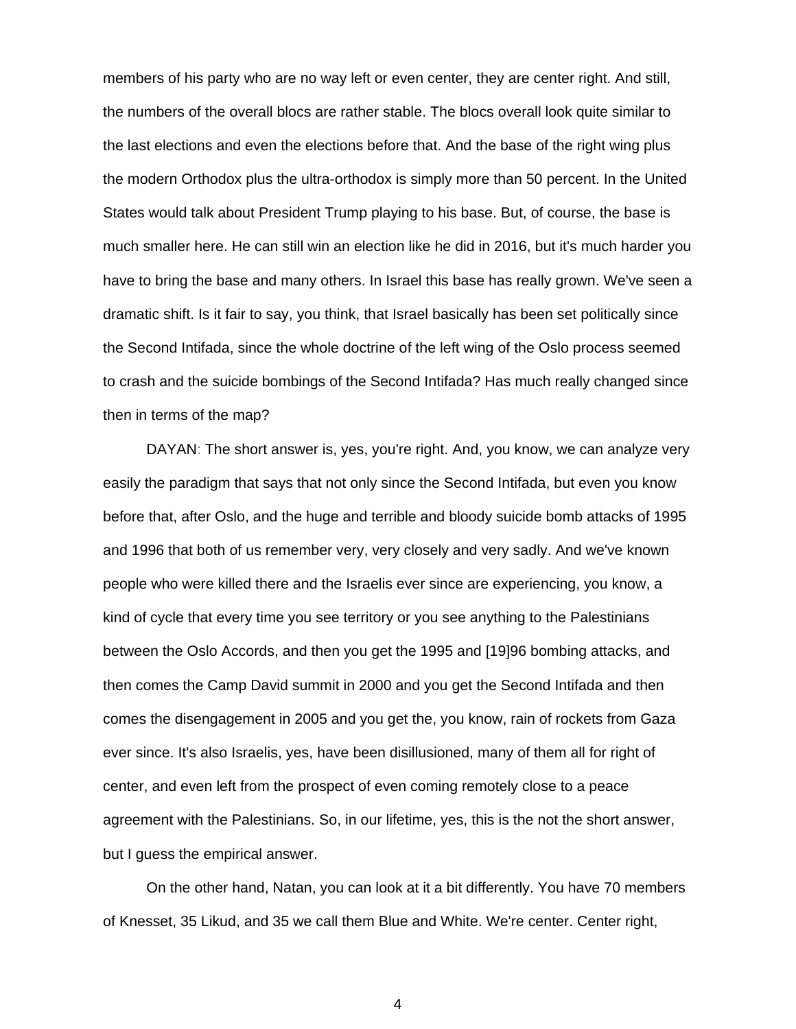members of his party who are no way left or even center, they are center right. And still, the numbers of the overall blocs are rather stable. The blocs overall look quite similar to the last elections and even the elections before that. And the base of the right wing plus the modern Orthodox plus the ultra-orthodox is simply more than 50 percent. In the United States would talk about President Trump playing to his base. But, of course, the base is much smaller here. He can still win an election like he did in 2016, but it's much harder you have to bring the base and many others. In Israel this base has really grown. We've seen a dramatic shift. Is it fair to say, you think, that Israel basically has been set politically since the Second Intifada, since the whole doctrine of the left wing of the Oslo process seemed to crash and the suicide bombings of the Second Intifada? Has much really changed since then in terms of the map?

DAYAN: The short answer is, yes, you're right. And, you know, we can analyze very easily the paradigm that says that not only since the Second Intifada, but even you know before that, after Oslo, and the huge and terrible and bloody suicide bomb attacks of 1995 and 1996 that both of us remember very, very closely and very sadly. And we've known people who were killed there and the Israelis ever since are experiencing, you know, a kind of cycle that every time you see territory or you see anything to the Palestinians between the Oslo Accords, and then you get the 1995 and [19]96 bombing attacks, and then comes the Camp David summit in 2000 and you get the Second Intifada and then comes the disengagement in 2005 and you get the, you know, rain of rockets from Gaza ever since. It's also Israelis, yes, have been disillusioned, many of them all for right of center, and even left from the prospect of even coming remotely close to a peace agreement with the Palestinians. So, in our lifetime, yes, this is the not the short answer, but I guess the empirical answer.

On the other hand, Natan, you can look at it a bit differently. You have 70 members of Knesset, 35 Likud, and 35 we call them Blue and White. We're center. Center right,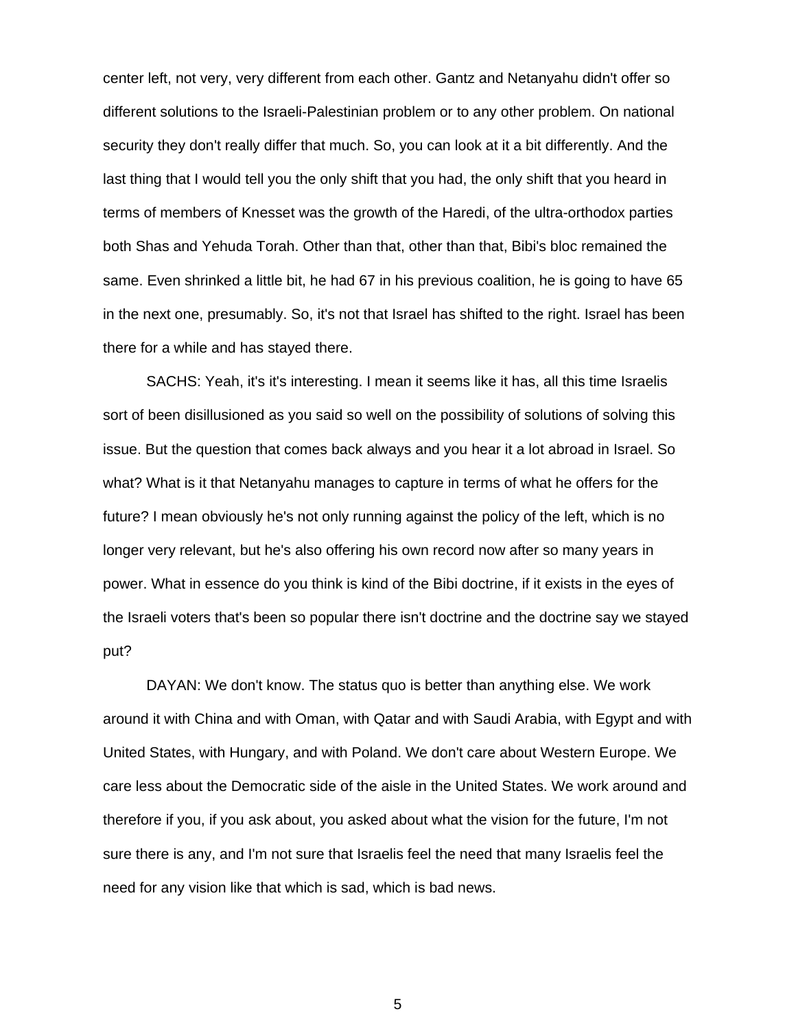center left, not very, very different from each other. Gantz and Netanyahu didn't offer so different solutions to the Israeli-Palestinian problem or to any other problem. On national security they don't really differ that much. So, you can look at it a bit differently. And the last thing that I would tell you the only shift that you had, the only shift that you heard in terms of members of Knesset was the growth of the Haredi, of the ultra-orthodox parties both Shas and Yehuda Torah. Other than that, other than that, Bibi's bloc remained the same. Even shrinked a little bit, he had 67 in his previous coalition, he is going to have 65 in the next one, presumably. So, it's not that Israel has shifted to the right. Israel has been there for a while and has stayed there.

 SACHS: Yeah, it's it's interesting. I mean it seems like it has, all this time Israelis sort of been disillusioned as you said so well on the possibility of solutions of solving this issue. But the question that comes back always and you hear it a lot abroad in Israel. So what? What is it that Netanyahu manages to capture in terms of what he offers for the future? I mean obviously he's not only running against the policy of the left, which is no longer very relevant, but he's also offering his own record now after so many years in power. What in essence do you think is kind of the Bibi doctrine, if it exists in the eyes of the Israeli voters that's been so popular there isn't doctrine and the doctrine say we stayed put?

 DAYAN: We don't know. The status quo is better than anything else. We work around it with China and with Oman, with Qatar and with Saudi Arabia, with Egypt and with United States, with Hungary, and with Poland. We don't care about Western Europe. We care less about the Democratic side of the aisle in the United States. We work around and therefore if you, if you ask about, you asked about what the vision for the future, I'm not sure there is any, and I'm not sure that Israelis feel the need that many Israelis feel the need for any vision like that which is sad, which is bad news.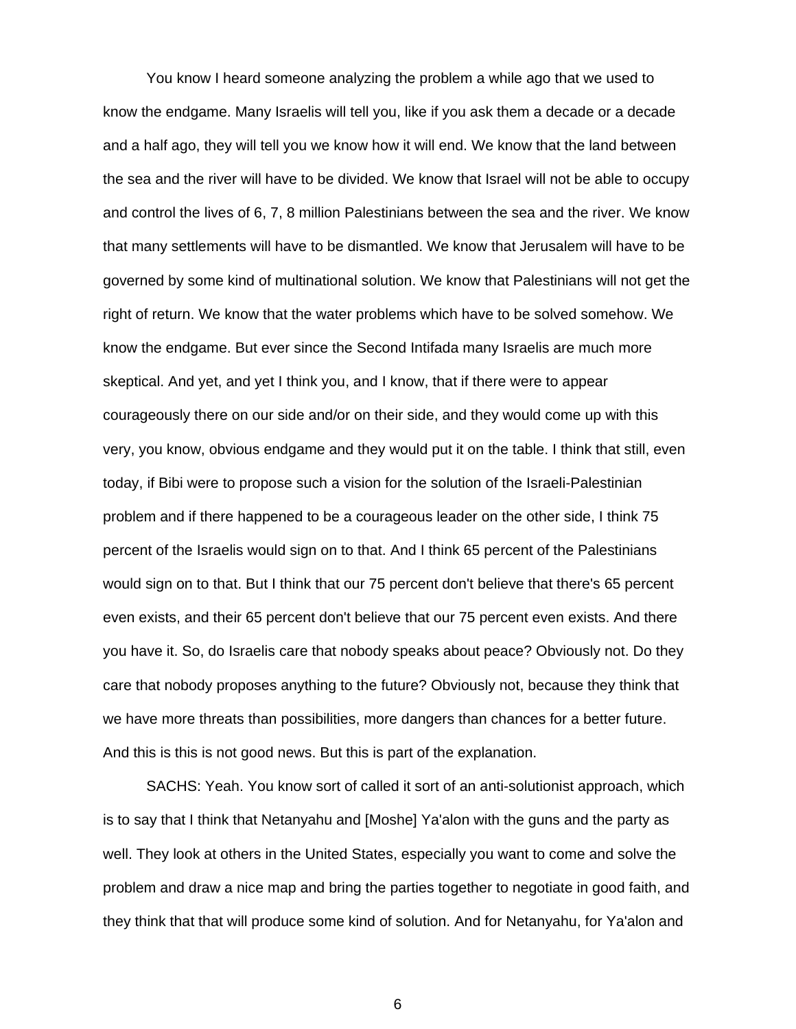You know I heard someone analyzing the problem a while ago that we used to know the endgame. Many Israelis will tell you, like if you ask them a decade or a decade and a half ago, they will tell you we know how it will end. We know that the land between the sea and the river will have to be divided. We know that Israel will not be able to occupy and control the lives of 6, 7, 8 million Palestinians between the sea and the river. We know that many settlements will have to be dismantled. We know that Jerusalem will have to be governed by some kind of multinational solution. We know that Palestinians will not get the right of return. We know that the water problems which have to be solved somehow. We know the endgame. But ever since the Second Intifada many Israelis are much more skeptical. And yet, and yet I think you, and I know, that if there were to appear courageously there on our side and/or on their side, and they would come up with this very, you know, obvious endgame and they would put it on the table. I think that still, even today, if Bibi were to propose such a vision for the solution of the Israeli-Palestinian problem and if there happened to be a courageous leader on the other side, I think 75 percent of the Israelis would sign on to that. And I think 65 percent of the Palestinians would sign on to that. But I think that our 75 percent don't believe that there's 65 percent even exists, and their 65 percent don't believe that our 75 percent even exists. And there you have it. So, do Israelis care that nobody speaks about peace? Obviously not. Do they care that nobody proposes anything to the future? Obviously not, because they think that we have more threats than possibilities, more dangers than chances for a better future. And this is this is not good news. But this is part of the explanation.

 SACHS: Yeah. You know sort of called it sort of an anti-solutionist approach, which is to say that I think that Netanyahu and [Moshe] Ya'alon with the guns and the party as well. They look at others in the United States, especially you want to come and solve the problem and draw a nice map and bring the parties together to negotiate in good faith, and they think that that will produce some kind of solution. And for Netanyahu, for Ya'alon and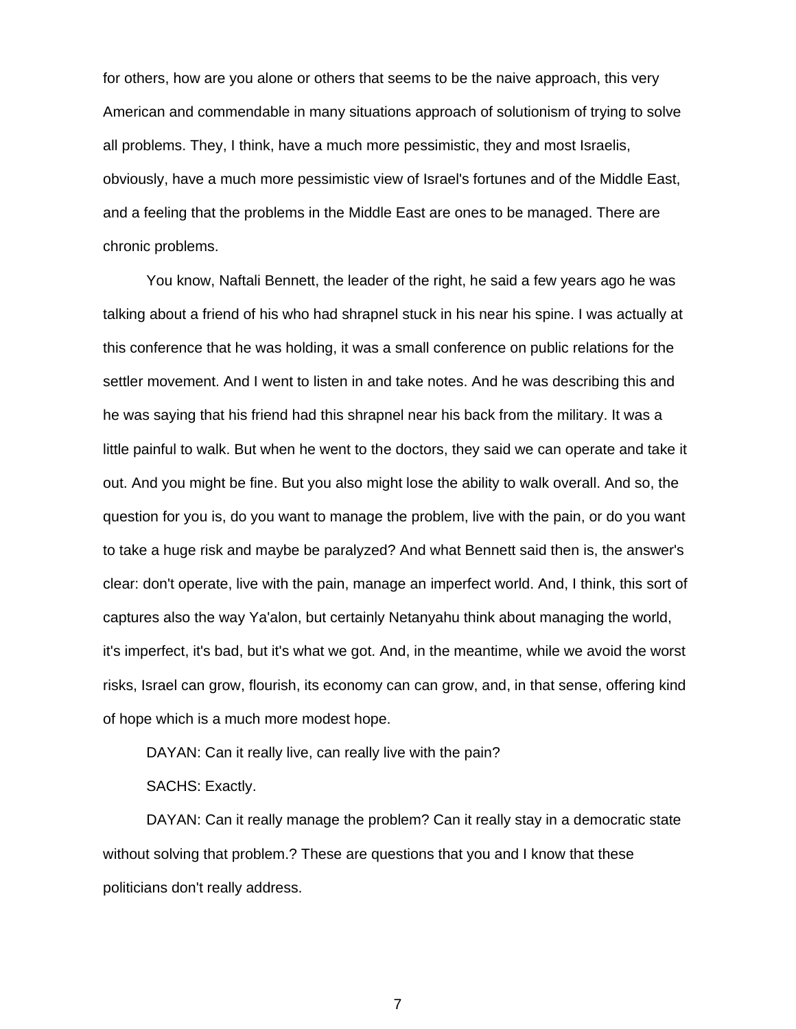for others, how are you alone or others that seems to be the naive approach, this very American and commendable in many situations approach of solutionism of trying to solve all problems. They, I think, have a much more pessimistic, they and most Israelis, obviously, have a much more pessimistic view of Israel's fortunes and of the Middle East, and a feeling that the problems in the Middle East are ones to be managed. There are chronic problems.

You know, Naftali Bennett, the leader of the right, he said a few years ago he was talking about a friend of his who had shrapnel stuck in his near his spine. I was actually at this conference that he was holding, it was a small conference on public relations for the settler movement. And I went to listen in and take notes. And he was describing this and he was saying that his friend had this shrapnel near his back from the military. It was a little painful to walk. But when he went to the doctors, they said we can operate and take it out. And you might be fine. But you also might lose the ability to walk overall. And so, the question for you is, do you want to manage the problem, live with the pain, or do you want to take a huge risk and maybe be paralyzed? And what Bennett said then is, the answer's clear: don't operate, live with the pain, manage an imperfect world. And, I think, this sort of captures also the way Ya'alon, but certainly Netanyahu think about managing the world, it's imperfect, it's bad, but it's what we got. And, in the meantime, while we avoid the worst risks, Israel can grow, flourish, its economy can can grow, and, in that sense, offering kind of hope which is a much more modest hope.

 DAYAN: Can it really live, can really live with the pain? SACHS: Exactly.

 DAYAN: Can it really manage the problem? Can it really stay in a democratic state without solving that problem.? These are questions that you and I know that these politicians don't really address.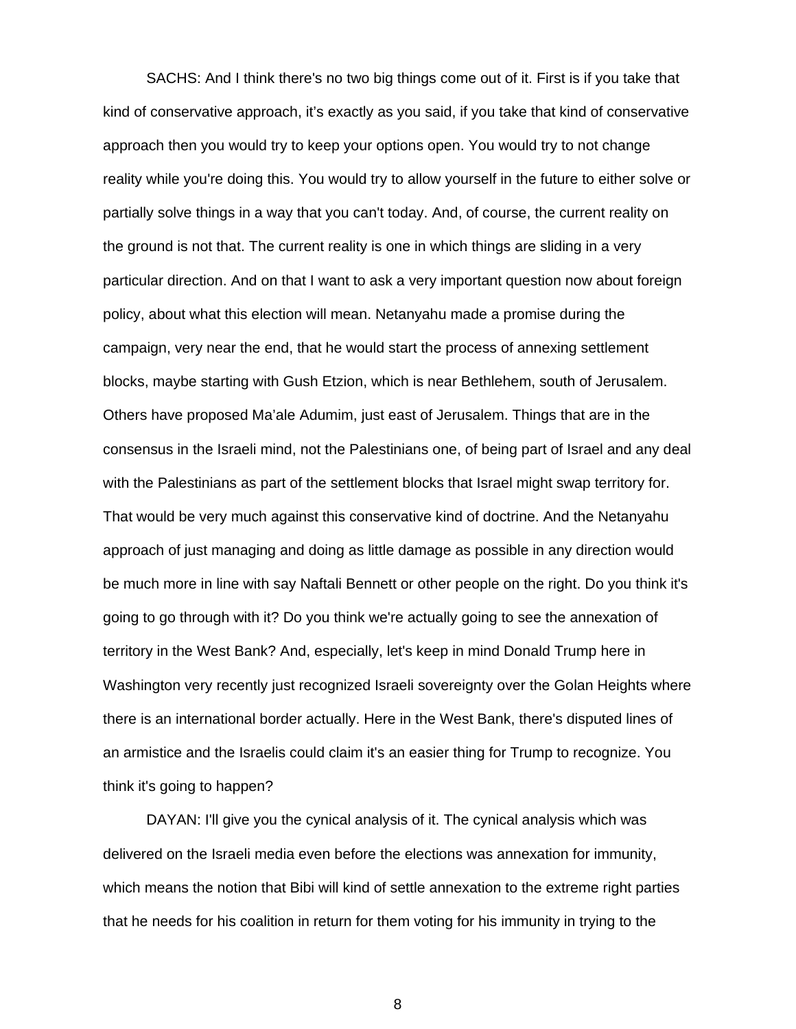SACHS: And I think there's no two big things come out of it. First is if you take that kind of conservative approach, it's exactly as you said, if you take that kind of conservative approach then you would try to keep your options open. You would try to not change reality while you're doing this. You would try to allow yourself in the future to either solve or partially solve things in a way that you can't today. And, of course, the current reality on the ground is not that. The current reality is one in which things are sliding in a very particular direction. And on that I want to ask a very important question now about foreign policy, about what this election will mean. Netanyahu made a promise during the campaign, very near the end, that he would start the process of annexing settlement blocks, maybe starting with Gush Etzion, which is near Bethlehem, south of Jerusalem. Others have proposed Ma'ale Adumim, just east of Jerusalem. Things that are in the consensus in the Israeli mind, not the Palestinians one, of being part of Israel and any deal with the Palestinians as part of the settlement blocks that Israel might swap territory for. That would be very much against this conservative kind of doctrine. And the Netanyahu approach of just managing and doing as little damage as possible in any direction would be much more in line with say Naftali Bennett or other people on the right. Do you think it's going to go through with it? Do you think we're actually going to see the annexation of territory in the West Bank? And, especially, let's keep in mind Donald Trump here in Washington very recently just recognized Israeli sovereignty over the Golan Heights where there is an international border actually. Here in the West Bank, there's disputed lines of an armistice and the Israelis could claim it's an easier thing for Trump to recognize. You think it's going to happen?

 DAYAN: I'll give you the cynical analysis of it. The cynical analysis which was delivered on the Israeli media even before the elections was annexation for immunity, which means the notion that Bibi will kind of settle annexation to the extreme right parties that he needs for his coalition in return for them voting for his immunity in trying to the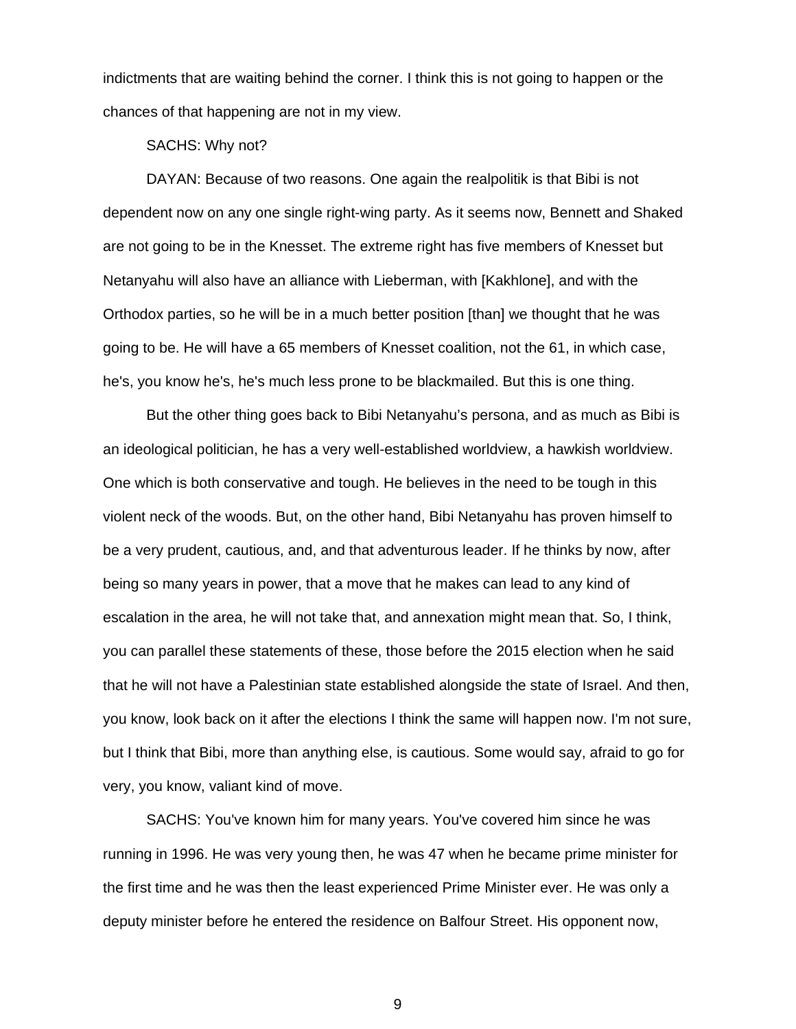indictments that are waiting behind the corner. I think this is not going to happen or the chances of that happening are not in my view.

SACHS: Why not?

 DAYAN: Because of two reasons. One again the realpolitik is that Bibi is not dependent now on any one single right-wing party. As it seems now, Bennett and Shaked are not going to be in the Knesset. The extreme right has five members of Knesset but Netanyahu will also have an alliance with Lieberman, with [Kakhlone], and with the Orthodox parties, so he will be in a much better position [than] we thought that he was going to be. He will have a 65 members of Knesset coalition, not the 61, in which case, he's, you know he's, he's much less prone to be blackmailed. But this is one thing.

But the other thing goes back to Bibi Netanyahu's persona, and as much as Bibi is an ideological politician, he has a very well-established worldview, a hawkish worldview. One which is both conservative and tough. He believes in the need to be tough in this violent neck of the woods. But, on the other hand, Bibi Netanyahu has proven himself to be a very prudent, cautious, and, and that adventurous leader. If he thinks by now, after being so many years in power, that a move that he makes can lead to any kind of escalation in the area, he will not take that, and annexation might mean that. So, I think, you can parallel these statements of these, those before the 2015 election when he said that he will not have a Palestinian state established alongside the state of Israel. And then, you know, look back on it after the elections I think the same will happen now. I'm not sure, but I think that Bibi, more than anything else, is cautious. Some would say, afraid to go for very, you know, valiant kind of move.

 SACHS: You've known him for many years. You've covered him since he was running in 1996. He was very young then, he was 47 when he became prime minister for the first time and he was then the least experienced Prime Minister ever. He was only a deputy minister before he entered the residence on Balfour Street. His opponent now,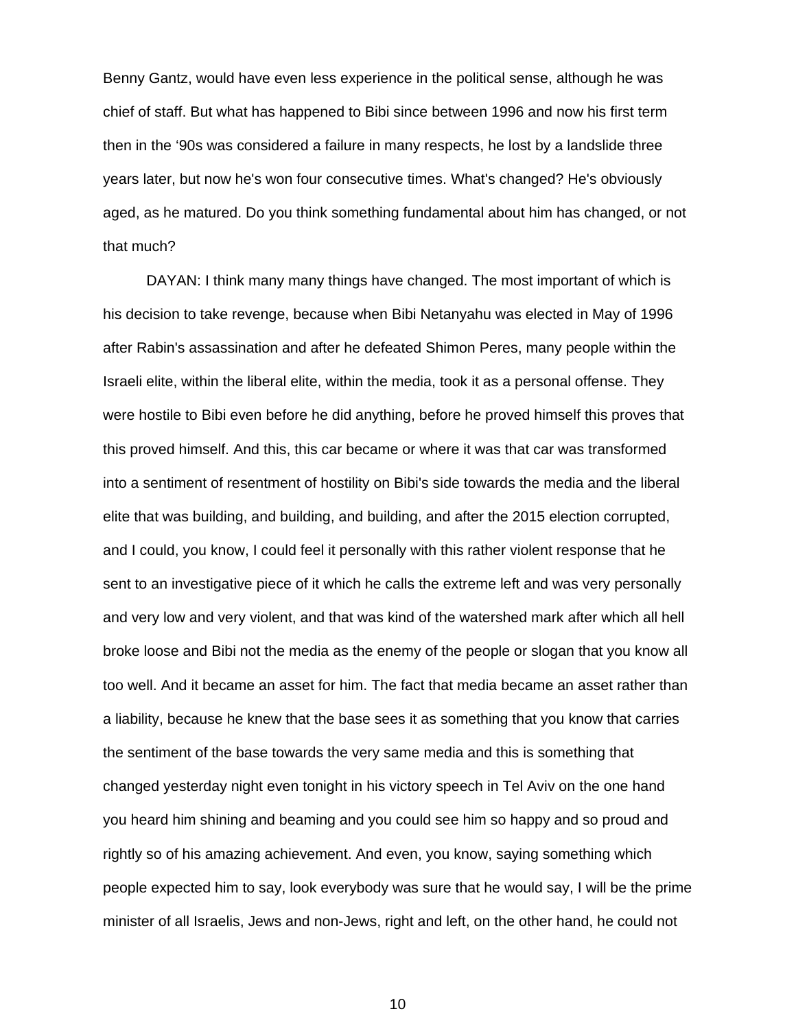Benny Gantz, would have even less experience in the political sense, although he was chief of staff. But what has happened to Bibi since between 1996 and now his first term then in the '90s was considered a failure in many respects, he lost by a landslide three years later, but now he's won four consecutive times. What's changed? He's obviously aged, as he matured. Do you think something fundamental about him has changed, or not that much?

DAYAN: I think many many things have changed. The most important of which is his decision to take revenge, because when Bibi Netanyahu was elected in May of 1996 after Rabin's assassination and after he defeated Shimon Peres, many people within the Israeli elite, within the liberal elite, within the media, took it as a personal offense. They were hostile to Bibi even before he did anything, before he proved himself this proves that this proved himself. And this, this car became or where it was that car was transformed into a sentiment of resentment of hostility on Bibi's side towards the media and the liberal elite that was building, and building, and building, and after the 2015 election corrupted, and I could, you know, I could feel it personally with this rather violent response that he sent to an investigative piece of it which he calls the extreme left and was very personally and very low and very violent, and that was kind of the watershed mark after which all hell broke loose and Bibi not the media as the enemy of the people or slogan that you know all too well. And it became an asset for him. The fact that media became an asset rather than a liability, because he knew that the base sees it as something that you know that carries the sentiment of the base towards the very same media and this is something that changed yesterday night even tonight in his victory speech in Tel Aviv on the one hand you heard him shining and beaming and you could see him so happy and so proud and rightly so of his amazing achievement. And even, you know, saying something which people expected him to say, look everybody was sure that he would say, I will be the prime minister of all Israelis, Jews and non-Jews, right and left, on the other hand, he could not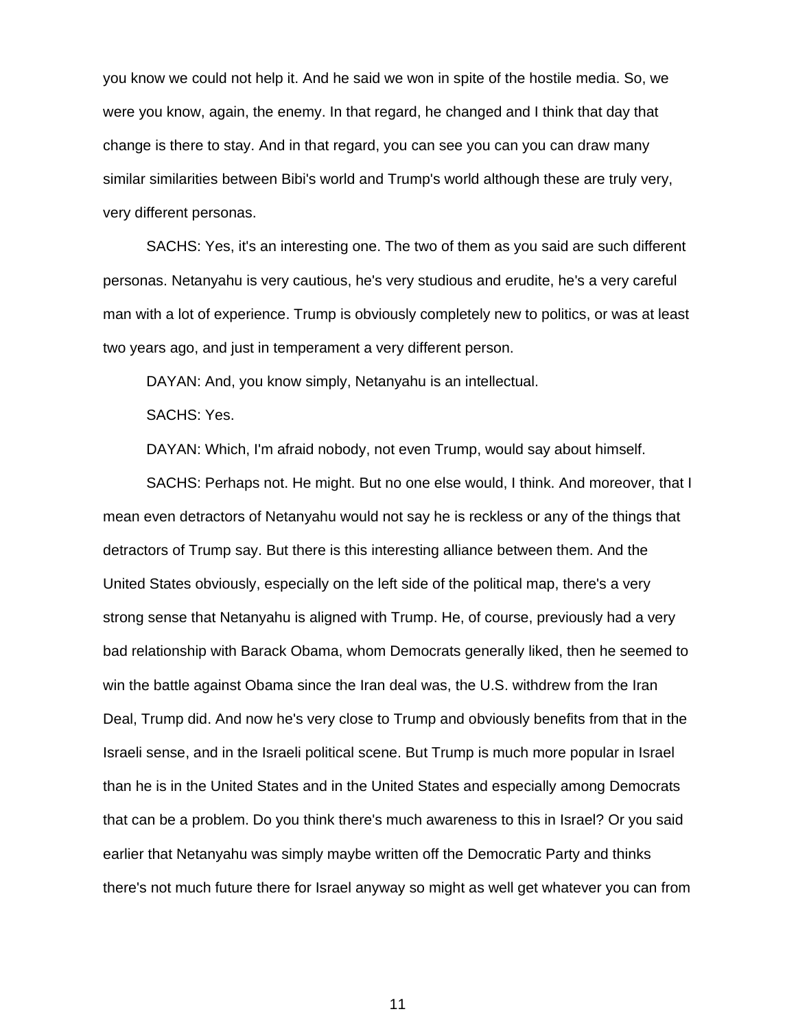you know we could not help it. And he said we won in spite of the hostile media. So, we were you know, again, the enemy. In that regard, he changed and I think that day that change is there to stay. And in that regard, you can see you can you can draw many similar similarities between Bibi's world and Trump's world although these are truly very, very different personas.

 SACHS: Yes, it's an interesting one. The two of them as you said are such different personas. Netanyahu is very cautious, he's very studious and erudite, he's a very careful man with a lot of experience. Trump is obviously completely new to politics, or was at least two years ago, and just in temperament a very different person.

DAYAN: And, you know simply, Netanyahu is an intellectual.

SACHS: Yes.

DAYAN: Which, I'm afraid nobody, not even Trump, would say about himself.

 SACHS: Perhaps not. He might. But no one else would, I think. And moreover, that I mean even detractors of Netanyahu would not say he is reckless or any of the things that detractors of Trump say. But there is this interesting alliance between them. And the United States obviously, especially on the left side of the political map, there's a very strong sense that Netanyahu is aligned with Trump. He, of course, previously had a very bad relationship with Barack Obama, whom Democrats generally liked, then he seemed to win the battle against Obama since the Iran deal was, the U.S. withdrew from the Iran Deal, Trump did. And now he's very close to Trump and obviously benefits from that in the Israeli sense, and in the Israeli political scene. But Trump is much more popular in Israel than he is in the United States and in the United States and especially among Democrats that can be a problem. Do you think there's much awareness to this in Israel? Or you said earlier that Netanyahu was simply maybe written off the Democratic Party and thinks there's not much future there for Israel anyway so might as well get whatever you can from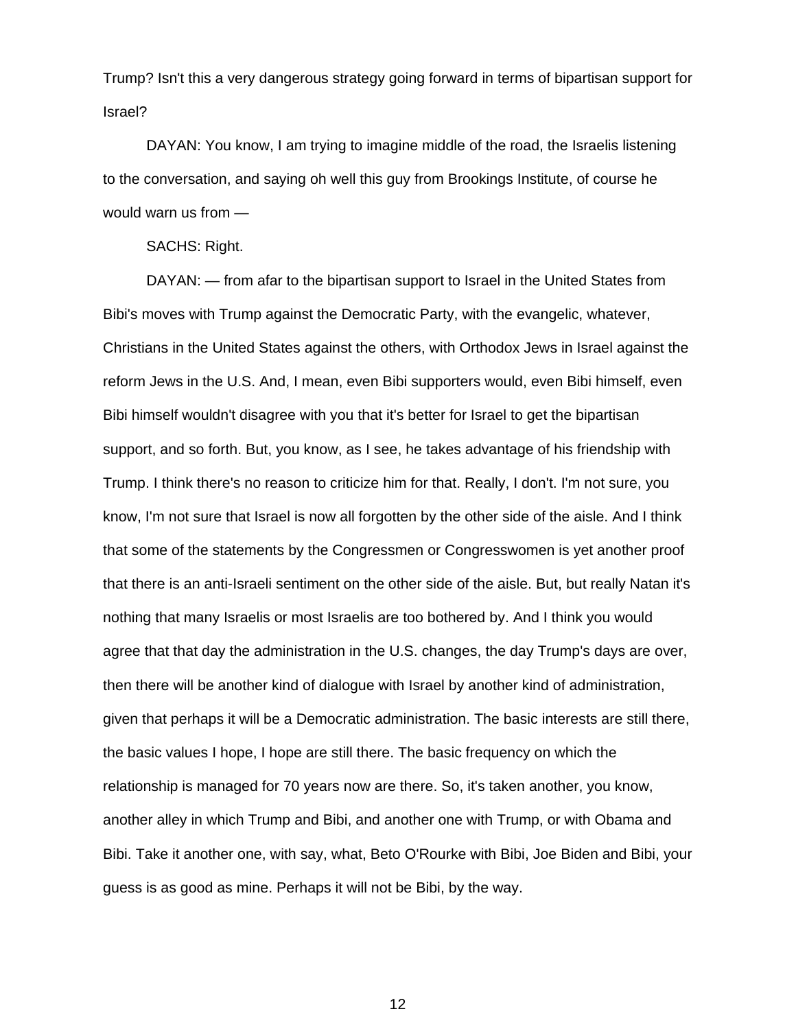Trump? Isn't this a very dangerous strategy going forward in terms of bipartisan support for Israel?

 DAYAN: You know, I am trying to imagine middle of the road, the Israelis listening to the conversation, and saying oh well this guy from Brookings Institute, of course he would warn us from —

SACHS: Right.

DAYAN: — from afar to the bipartisan support to Israel in the United States from Bibi's moves with Trump against the Democratic Party, with the evangelic, whatever, Christians in the United States against the others, with Orthodox Jews in Israel against the reform Jews in the U.S. And, I mean, even Bibi supporters would, even Bibi himself, even Bibi himself wouldn't disagree with you that it's better for Israel to get the bipartisan support, and so forth. But, you know, as I see, he takes advantage of his friendship with Trump. I think there's no reason to criticize him for that. Really, I don't. I'm not sure, you know, I'm not sure that Israel is now all forgotten by the other side of the aisle. And I think that some of the statements by the Congressmen or Congresswomen is yet another proof that there is an anti-Israeli sentiment on the other side of the aisle. But, but really Natan it's nothing that many Israelis or most Israelis are too bothered by. And I think you would agree that that day the administration in the U.S. changes, the day Trump's days are over, then there will be another kind of dialogue with Israel by another kind of administration, given that perhaps it will be a Democratic administration. The basic interests are still there, the basic values I hope, I hope are still there. The basic frequency on which the relationship is managed for 70 years now are there. So, it's taken another, you know, another alley in which Trump and Bibi, and another one with Trump, or with Obama and Bibi. Take it another one, with say, what, Beto O'Rourke with Bibi, Joe Biden and Bibi, your guess is as good as mine. Perhaps it will not be Bibi, by the way.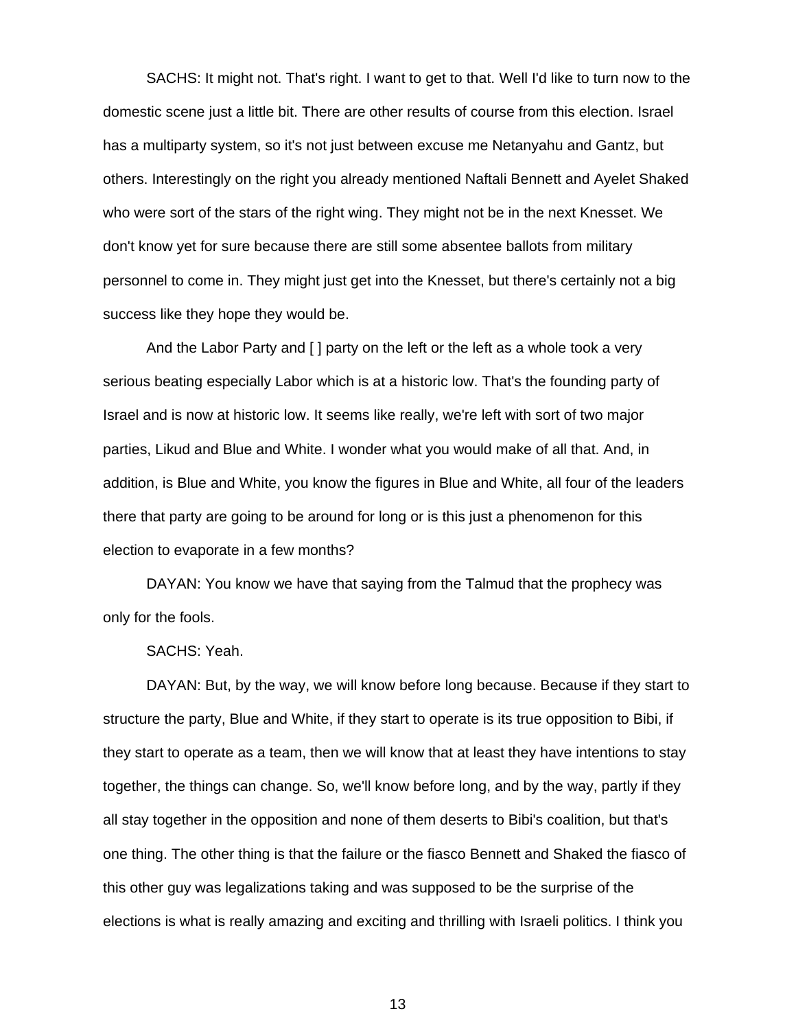SACHS: It might not. That's right. I want to get to that. Well I'd like to turn now to the domestic scene just a little bit. There are other results of course from this election. Israel has a multiparty system, so it's not just between excuse me Netanyahu and Gantz, but others. Interestingly on the right you already mentioned Naftali Bennett and Ayelet Shaked who were sort of the stars of the right wing. They might not be in the next Knesset. We don't know yet for sure because there are still some absentee ballots from military personnel to come in. They might just get into the Knesset, but there's certainly not a big success like they hope they would be.

And the Labor Party and [ ] party on the left or the left as a whole took a very serious beating especially Labor which is at a historic low. That's the founding party of Israel and is now at historic low. It seems like really, we're left with sort of two major parties, Likud and Blue and White. I wonder what you would make of all that. And, in addition, is Blue and White, you know the figures in Blue and White, all four of the leaders there that party are going to be around for long or is this just a phenomenon for this election to evaporate in a few months?

 DAYAN: You know we have that saying from the Talmud that the prophecy was only for the fools.

SACHS: Yeah.

 DAYAN: But, by the way, we will know before long because. Because if they start to structure the party, Blue and White, if they start to operate is its true opposition to Bibi, if they start to operate as a team, then we will know that at least they have intentions to stay together, the things can change. So, we'll know before long, and by the way, partly if they all stay together in the opposition and none of them deserts to Bibi's coalition, but that's one thing. The other thing is that the failure or the fiasco Bennett and Shaked the fiasco of this other guy was legalizations taking and was supposed to be the surprise of the elections is what is really amazing and exciting and thrilling with Israeli politics. I think you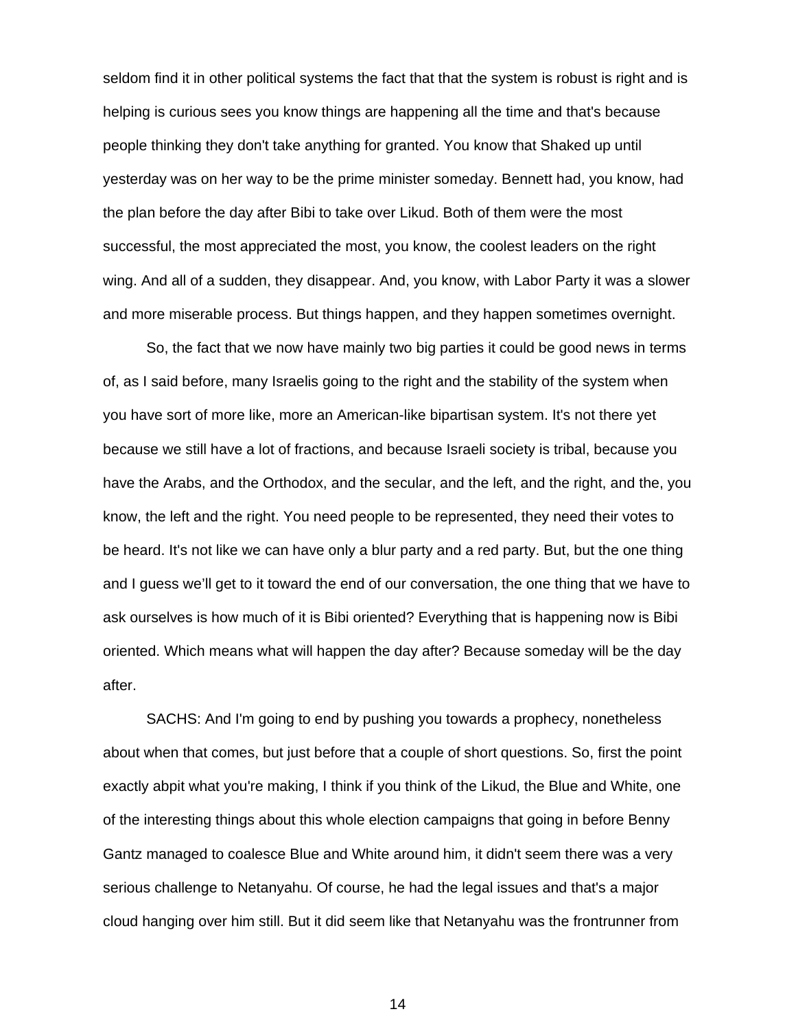seldom find it in other political systems the fact that that the system is robust is right and is helping is curious sees you know things are happening all the time and that's because people thinking they don't take anything for granted. You know that Shaked up until yesterday was on her way to be the prime minister someday. Bennett had, you know, had the plan before the day after Bibi to take over Likud. Both of them were the most successful, the most appreciated the most, you know, the coolest leaders on the right wing. And all of a sudden, they disappear. And, you know, with Labor Party it was a slower and more miserable process. But things happen, and they happen sometimes overnight.

So, the fact that we now have mainly two big parties it could be good news in terms of, as I said before, many Israelis going to the right and the stability of the system when you have sort of more like, more an American-like bipartisan system. It's not there yet because we still have a lot of fractions, and because Israeli society is tribal, because you have the Arabs, and the Orthodox, and the secular, and the left, and the right, and the, you know, the left and the right. You need people to be represented, they need their votes to be heard. It's not like we can have only a blur party and a red party. But, but the one thing and I guess we'll get to it toward the end of our conversation, the one thing that we have to ask ourselves is how much of it is Bibi oriented? Everything that is happening now is Bibi oriented. Which means what will happen the day after? Because someday will be the day after.

SACHS: And I'm going to end by pushing you towards a prophecy, nonetheless about when that comes, but just before that a couple of short questions. So, first the point exactly abpit what you're making, I think if you think of the Likud, the Blue and White, one of the interesting things about this whole election campaigns that going in before Benny Gantz managed to coalesce Blue and White around him, it didn't seem there was a very serious challenge to Netanyahu. Of course, he had the legal issues and that's a major cloud hanging over him still. But it did seem like that Netanyahu was the frontrunner from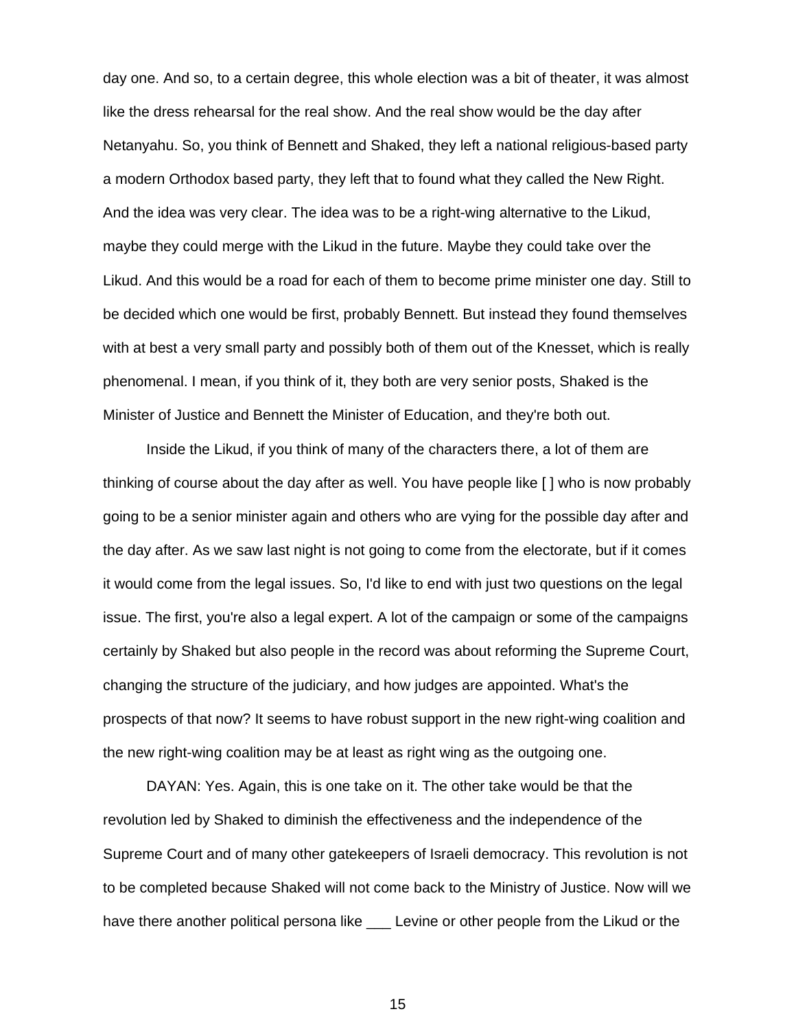day one. And so, to a certain degree, this whole election was a bit of theater, it was almost like the dress rehearsal for the real show. And the real show would be the day after Netanyahu. So, you think of Bennett and Shaked, they left a national religious-based party a modern Orthodox based party, they left that to found what they called the New Right. And the idea was very clear. The idea was to be a right-wing alternative to the Likud, maybe they could merge with the Likud in the future. Maybe they could take over the Likud. And this would be a road for each of them to become prime minister one day. Still to be decided which one would be first, probably Bennett. But instead they found themselves with at best a very small party and possibly both of them out of the Knesset, which is really phenomenal. I mean, if you think of it, they both are very senior posts, Shaked is the Minister of Justice and Bennett the Minister of Education, and they're both out.

Inside the Likud, if you think of many of the characters there, a lot of them are thinking of course about the day after as well. You have people like [ ] who is now probably going to be a senior minister again and others who are vying for the possible day after and the day after. As we saw last night is not going to come from the electorate, but if it comes it would come from the legal issues. So, I'd like to end with just two questions on the legal issue. The first, you're also a legal expert. A lot of the campaign or some of the campaigns certainly by Shaked but also people in the record was about reforming the Supreme Court, changing the structure of the judiciary, and how judges are appointed. What's the prospects of that now? It seems to have robust support in the new right-wing coalition and the new right-wing coalition may be at least as right wing as the outgoing one.

 DAYAN: Yes. Again, this is one take on it. The other take would be that the revolution led by Shaked to diminish the effectiveness and the independence of the Supreme Court and of many other gatekeepers of Israeli democracy. This revolution is not to be completed because Shaked will not come back to the Ministry of Justice. Now will we have there another political persona like \_\_\_ Levine or other people from the Likud or the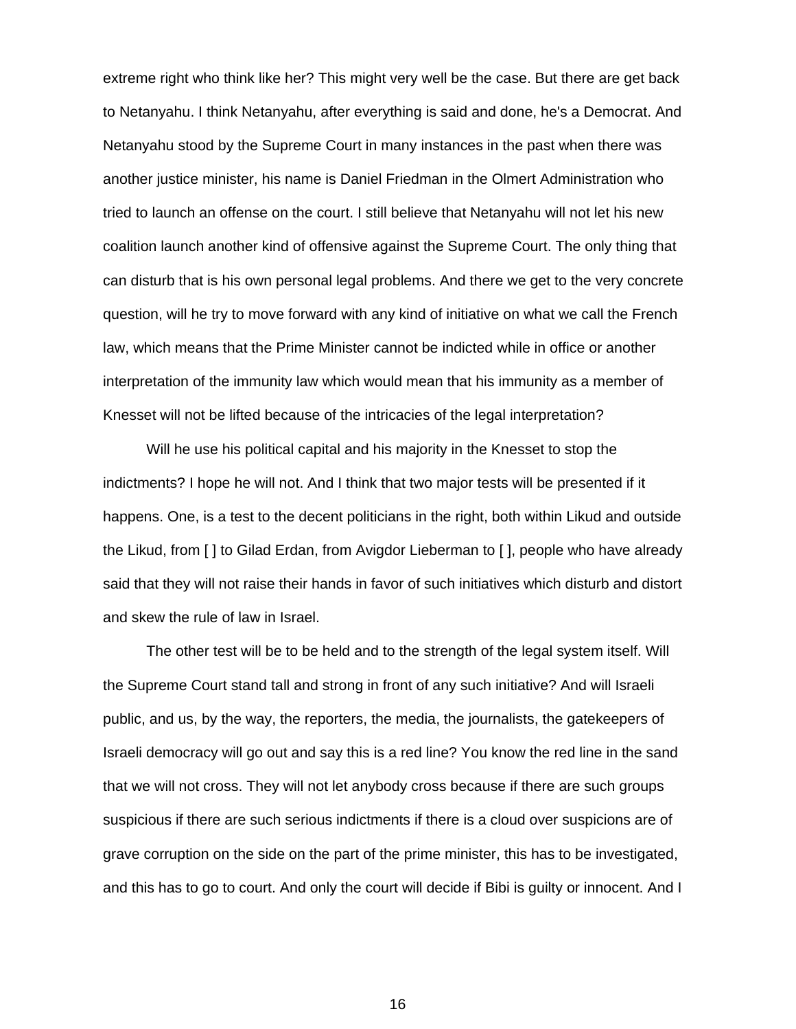extreme right who think like her? This might very well be the case. But there are get back to Netanyahu. I think Netanyahu, after everything is said and done, he's a Democrat. And Netanyahu stood by the Supreme Court in many instances in the past when there was another justice minister, his name is Daniel Friedman in the Olmert Administration who tried to launch an offense on the court. I still believe that Netanyahu will not let his new coalition launch another kind of offensive against the Supreme Court. The only thing that can disturb that is his own personal legal problems. And there we get to the very concrete question, will he try to move forward with any kind of initiative on what we call the French law, which means that the Prime Minister cannot be indicted while in office or another interpretation of the immunity law which would mean that his immunity as a member of Knesset will not be lifted because of the intricacies of the legal interpretation?

Will he use his political capital and his majority in the Knesset to stop the indictments? I hope he will not. And I think that two major tests will be presented if it happens. One, is a test to the decent politicians in the right, both within Likud and outside the Likud, from [ ] to Gilad Erdan, from Avigdor Lieberman to [ ], people who have already said that they will not raise their hands in favor of such initiatives which disturb and distort and skew the rule of law in Israel.

The other test will be to be held and to the strength of the legal system itself. Will the Supreme Court stand tall and strong in front of any such initiative? And will Israeli public, and us, by the way, the reporters, the media, the journalists, the gatekeepers of Israeli democracy will go out and say this is a red line? You know the red line in the sand that we will not cross. They will not let anybody cross because if there are such groups suspicious if there are such serious indictments if there is a cloud over suspicions are of grave corruption on the side on the part of the prime minister, this has to be investigated, and this has to go to court. And only the court will decide if Bibi is guilty or innocent. And I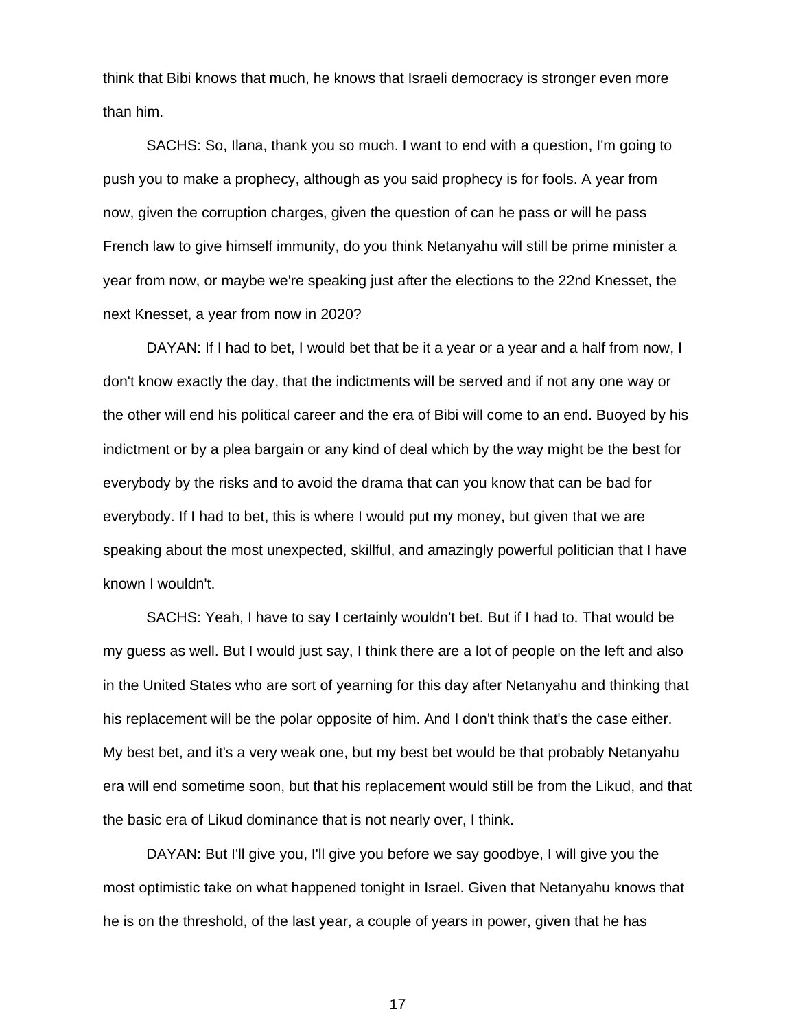think that Bibi knows that much, he knows that Israeli democracy is stronger even more than him.

 SACHS: So, Ilana, thank you so much. I want to end with a question, I'm going to push you to make a prophecy, although as you said prophecy is for fools. A year from now, given the corruption charges, given the question of can he pass or will he pass French law to give himself immunity, do you think Netanyahu will still be prime minister a year from now, or maybe we're speaking just after the elections to the 22nd Knesset, the next Knesset, a year from now in 2020?

 DAYAN: If I had to bet, I would bet that be it a year or a year and a half from now, I don't know exactly the day, that the indictments will be served and if not any one way or the other will end his political career and the era of Bibi will come to an end. Buoyed by his indictment or by a plea bargain or any kind of deal which by the way might be the best for everybody by the risks and to avoid the drama that can you know that can be bad for everybody. If I had to bet, this is where I would put my money, but given that we are speaking about the most unexpected, skillful, and amazingly powerful politician that I have known I wouldn't.

 SACHS: Yeah, I have to say I certainly wouldn't bet. But if I had to. That would be my guess as well. But I would just say, I think there are a lot of people on the left and also in the United States who are sort of yearning for this day after Netanyahu and thinking that his replacement will be the polar opposite of him. And I don't think that's the case either. My best bet, and it's a very weak one, but my best bet would be that probably Netanyahu era will end sometime soon, but that his replacement would still be from the Likud, and that the basic era of Likud dominance that is not nearly over, I think.

 DAYAN: But I'll give you, I'll give you before we say goodbye, I will give you the most optimistic take on what happened tonight in Israel. Given that Netanyahu knows that he is on the threshold, of the last year, a couple of years in power, given that he has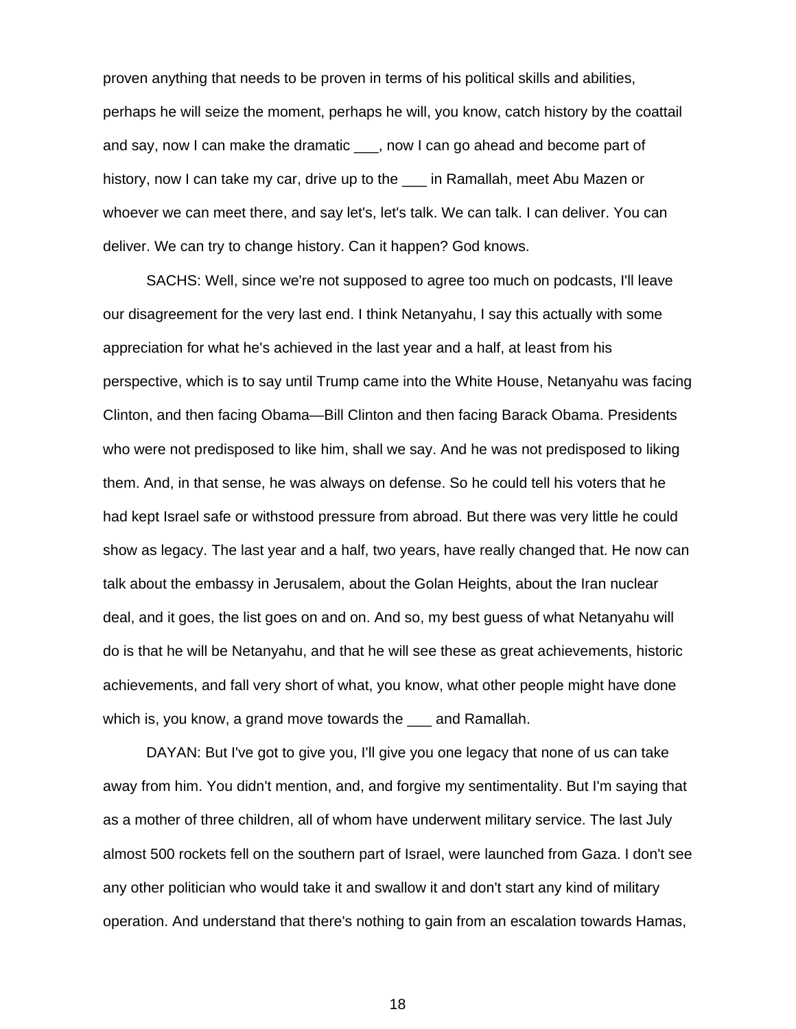proven anything that needs to be proven in terms of his political skills and abilities, perhaps he will seize the moment, perhaps he will, you know, catch history by the coattail and say, now I can make the dramatic \_\_\_, now I can go ahead and become part of history, now I can take my car, drive up to the in Ramallah, meet Abu Mazen or whoever we can meet there, and say let's, let's talk. We can talk. I can deliver. You can deliver. We can try to change history. Can it happen? God knows.

 SACHS: Well, since we're not supposed to agree too much on podcasts, I'll leave our disagreement for the very last end. I think Netanyahu, I say this actually with some appreciation for what he's achieved in the last year and a half, at least from his perspective, which is to say until Trump came into the White House, Netanyahu was facing Clinton, and then facing Obama—Bill Clinton and then facing Barack Obama. Presidents who were not predisposed to like him, shall we say. And he was not predisposed to liking them. And, in that sense, he was always on defense. So he could tell his voters that he had kept Israel safe or withstood pressure from abroad. But there was very little he could show as legacy. The last year and a half, two years, have really changed that. He now can talk about the embassy in Jerusalem, about the Golan Heights, about the Iran nuclear deal, and it goes, the list goes on and on. And so, my best guess of what Netanyahu will do is that he will be Netanyahu, and that he will see these as great achievements, historic achievements, and fall very short of what, you know, what other people might have done which is, you know, a grand move towards the and Ramallah.

 DAYAN: But I've got to give you, I'll give you one legacy that none of us can take away from him. You didn't mention, and, and forgive my sentimentality. But I'm saying that as a mother of three children, all of whom have underwent military service. The last July almost 500 rockets fell on the southern part of Israel, were launched from Gaza. I don't see any other politician who would take it and swallow it and don't start any kind of military operation. And understand that there's nothing to gain from an escalation towards Hamas,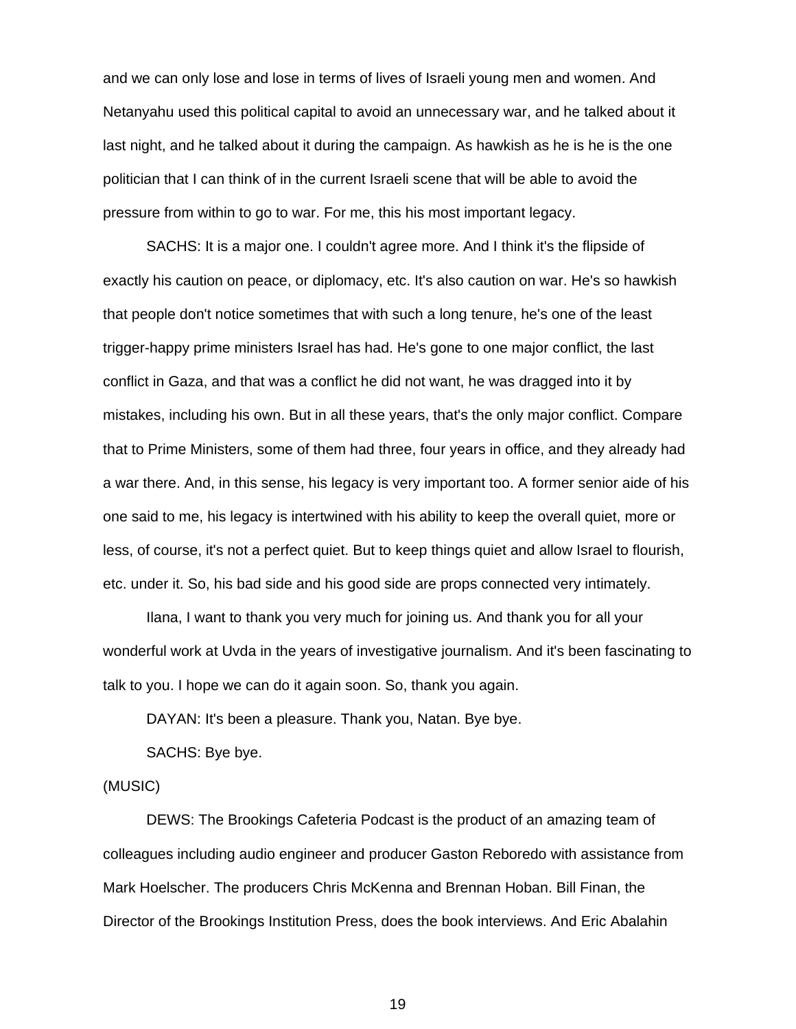and we can only lose and lose in terms of lives of Israeli young men and women. And Netanyahu used this political capital to avoid an unnecessary war, and he talked about it last night, and he talked about it during the campaign. As hawkish as he is he is the one politician that I can think of in the current Israeli scene that will be able to avoid the pressure from within to go to war. For me, this his most important legacy.

 SACHS: It is a major one. I couldn't agree more. And I think it's the flipside of exactly his caution on peace, or diplomacy, etc. It's also caution on war. He's so hawkish that people don't notice sometimes that with such a long tenure, he's one of the least trigger-happy prime ministers Israel has had. He's gone to one major conflict, the last conflict in Gaza, and that was a conflict he did not want, he was dragged into it by mistakes, including his own. But in all these years, that's the only major conflict. Compare that to Prime Ministers, some of them had three, four years in office, and they already had a war there. And, in this sense, his legacy is very important too. A former senior aide of his one said to me, his legacy is intertwined with his ability to keep the overall quiet, more or less, of course, it's not a perfect quiet. But to keep things quiet and allow Israel to flourish, etc. under it. So, his bad side and his good side are props connected very intimately.

Ilana, I want to thank you very much for joining us. And thank you for all your wonderful work at Uvda in the years of investigative journalism. And it's been fascinating to talk to you. I hope we can do it again soon. So, thank you again.

DAYAN: It's been a pleasure. Thank you, Natan. Bye bye.

SACHS: Bye bye.

## (MUSIC)

DEWS: The Brookings Cafeteria Podcast is the product of an amazing team of colleagues including audio engineer and producer Gaston Reboredo with assistance from Mark Hoelscher. The producers Chris McKenna and Brennan Hoban. Bill Finan, the Director of the Brookings Institution Press, does the book interviews. And Eric Abalahin